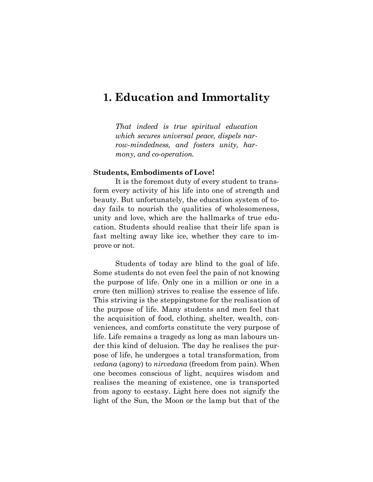# **1. Education and Immortality**

*That indeed is true spiritual education which secures universal peace, dispels narrow-mindedness, and fosters unity, harmony, and co-operation.*

#### **Students, Embodiments of Love!**

It is the foremost duty of every student to transform every activity of his life into one of strength and beauty. But unfortunately, the education system of today fails to nourish the qualities of wholesomeness, unity and love, which are the hallmarks of true education. Students should realise that their life span is fast melting away like ice, whether they care to improve or not.

Students of today are blind to the goal of life. Some students do not even feel the pain of not knowing the purpose of life. Only one in a million or one in a crore (ten million) strives to realise the essence of life. This striving is the steppingstone for the realisation of the purpose of life. Many students and men feel that the acquisition of food, clothing, shelter, wealth, conveniences, and comforts constitute the very purpose of life. Life remains a tragedy as long as man labours under this kind of delusion. The day he realises the purpose of life, he undergoes a total transformation, from *vedana* (agony) to *nirvedana* (freedom from pain). When one becomes conscious of light, acquires wisdom and realises the meaning of existence, one is transported from agony to ecstasy. Light here does not signify the light of the Sun, the Moon or the lamp but that of the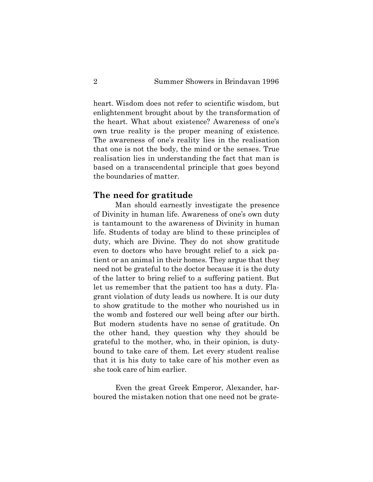heart. Wisdom does not refer to scientific wisdom, but enlightenment brought about by the transformation of the heart. What about existence? Awareness of one's own true reality is the proper meaning of existence. The awareness of one's reality lies in the realisation that one is not the body, the mind or the senses. True realisation lies in understanding the fact that man is based on a transcendental principle that goes beyond the boundaries of matter.

#### **The need for gratitude**

Man should earnestly investigate the presence of Divinity in human life. Awareness of one's own duty is tantamount to the awareness of Divinity in human life. Students of today are blind to these principles of duty, which are Divine. They do not show gratitude even to doctors who have brought relief to a sick patient or an animal in their homes. They argue that they need not be grateful to the doctor because it is the duty of the latter to bring relief to a suffering patient. But let us remember that the patient too has a duty. Flagrant violation of duty leads us nowhere. It is our duty to show gratitude to the mother who nourished us in the womb and fostered our well being after our birth. But modern students have no sense of gratitude. On the other hand, they question why they should be grateful to the mother, who, in their opinion, is dutybound to take care of them. Let every student realise that it is his duty to take care of his mother even as she took care of him earlier.

Even the great Greek Emperor, Alexander, harboured the mistaken notion that one need not be grate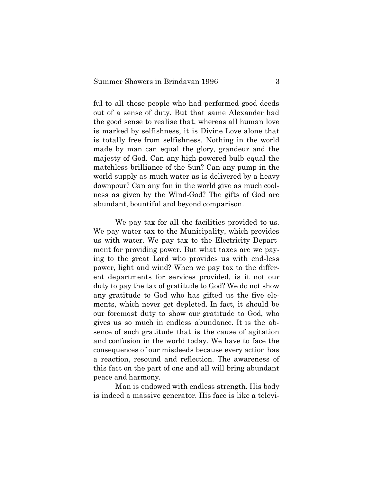ful to all those people who had performed good deeds out of a sense of duty. But that same Alexander had the good sense to realise that, whereas all human love is marked by selfishness, it is Divine Love alone that is totally free from selfishness. Nothing in the world made by man can equal the glory, grandeur and the majesty of God. Can any high-powered bulb equal the matchless brilliance of the Sun? Can any pump in the world supply as much water as is delivered by a heavy downpour? Can any fan in the world give as much coolness as given by the Wind-God? The gifts of God are abundant, bountiful and beyond comparison.

We pay tax for all the facilities provided to us. We pay water-tax to the Municipality, which provides us with water. We pay tax to the Electricity Department for providing power. But what taxes are we paying to the great Lord who provides us with end-less power, light and wind? When we pay tax to the different departments for services provided, is it not our duty to pay the tax of gratitude to God? We do not show any gratitude to God who has gifted us the five elements, which never get depleted. In fact, it should be our foremost duty to show our gratitude to God, who gives us so much in endless abundance. It is the absence of such gratitude that is the cause of agitation and confusion in the world today. We have to face the consequences of our misdeeds because every action has a reaction, resound and reflection. The awareness of this fact on the part of one and all will bring abundant peace and harmony.

Man is endowed with endless strength. His body is indeed a massive generator. His face is like a televi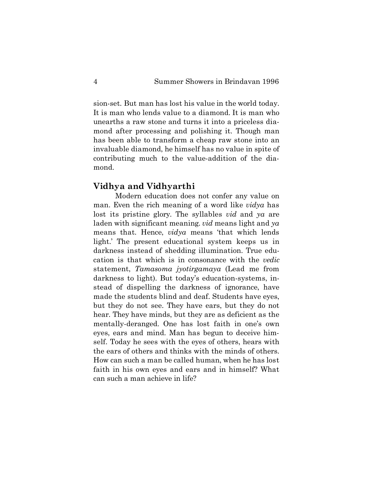sion-set. But man has lost his value in the world today. It is man who lends value to a diamond. It is man who unearths a raw stone and turns it into a priceless diamond after processing and polishing it. Though man has been able to transform a cheap raw stone into an invaluable diamond, he himself has no value in spite of contributing much to the value-addition of the diamond.

#### **Vidhya and Vidhyarthi**

Modern education does not confer any value on man. Even the rich meaning of a word like *vidya* has lost its pristine glory. The syllables *vid* and *ya* are laden with significant meaning. *vid* means light and *ya* means that. Hence, *vidya* means 'that which lends light.' The present educational system keeps us in darkness instead of shedding illumination. True education is that which is in consonance with the *vedic* statement, *Tamasoma jyotirgamaya* (Lead me from darkness to light). But today's education-systems, instead of dispelling the darkness of ignorance, have made the students blind and deaf. Students have eyes, but they do not see. They have ears, but they do not hear. They have minds, but they are as deficient as the mentally-deranged. One has lost faith in one's own eyes, ears and mind. Man has begun to deceive himself. Today he sees with the eyes of others, hears with the ears of others and thinks with the minds of others. How can such a man be called human, when he has lost faith in his own eyes and ears and in himself? What can such a man achieve in life?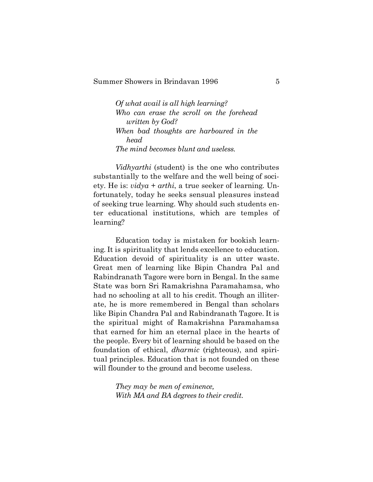*Of what avail is all high learning? Who can erase the scroll on the forehead written by God? When bad thoughts are harboured in the head The mind becomes blunt and useless.*

*Vidhyarthi* (student) is the one who contributes substantially to the welfare and the well being of society. He is: *vidya* + *arthi*, a true seeker of learning. Unfortunately, today he seeks sensual pleasures instead of seeking true learning. Why should such students enter educational institutions, which are temples of learning?

Education today is mistaken for bookish learning. It is spirituality that lends excellence to education. Education devoid of spirituality is an utter waste. Great men of learning like Bipin Chandra Pal and Rabindranath Tagore were born in Bengal. In the same State was born Sri Ramakrishna Paramahamsa, who had no schooling at all to his credit. Though an illiterate, he is more remembered in Bengal than scholars like Bipin Chandra Pal and Rabindranath Tagore. It is the spiritual might of Ramakrishna Paramahamsa that earned for him an eternal place in the hearts of the people. Every bit of learning should be based on the foundation of ethical, *dharmic* (righteous), and spiritual principles. Education that is not founded on these will flounder to the ground and become useless.

> *They may be men of eminence, With MA and BA degrees to their credit.*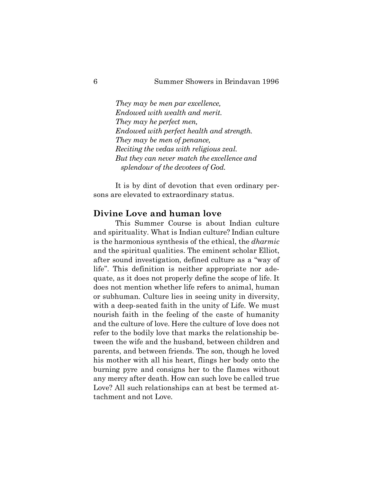*They may be men par excellence, Endowed with wealth and merit. They may he perfect men, Endowed with perfect health and strength. They may be men of penance, Reciting the vedas with religious zeal. But they can never match the excellence and splendour of the devotees of God.*

It is by dint of devotion that even ordinary persons are elevated to extraordinary status.

## **Divine Love and human love**

This Summer Course is about Indian culture and spirituality. What is Indian culture? Indian culture is the harmonious synthesis of the ethical, the *dharmic* and the spiritual qualities. The eminent scholar Elliot, after sound investigation, defined culture as a "way of life". This definition is neither appropriate nor adequate, as it does not properly define the scope of life. It does not mention whether life refers to animal, human or subhuman. Culture lies in seeing unity in diversity, with a deep-seated faith in the unity of Life. We must nourish faith in the feeling of the caste of humanity and the culture of love. Here the culture of love does not refer to the bodily love that marks the relationship between the wife and the husband, between children and parents, and between friends. The son, though he loved his mother with all his heart, flings her body onto the burning pyre and consigns her to the flames without any mercy after death. How can such love be called true Love? All such relationships can at best be termed attachment and not Love.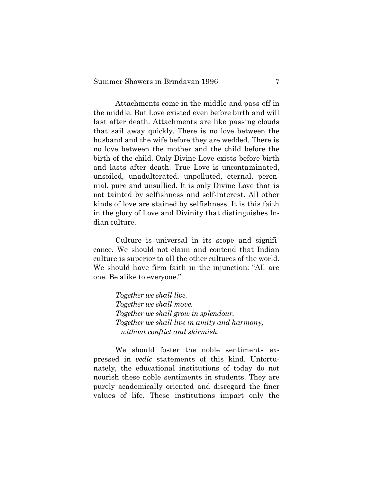Attachments come in the middle and pass off in the middle. But Love existed even before birth and will last after death. Attachments are like passing clouds that sail away quickly. There is no love between the husband and the wife before they are wedded. There is no love between the mother and the child before the birth of the child. Only Divine Love exists before birth and lasts after death. True Love is uncontaminated, unsoiled, unadulterated, unpolluted, eternal, perennial, pure and unsullied. It is only Divine Love that is not tainted by selfishness and self-interest. All other kinds of love are stained by selfishness. It is this faith in the glory of Love and Divinity that distinguishes Indian culture.

Culture is universal in its scope and significance. We should not claim and contend that Indian culture is superior to all the other cultures of the world. We should have firm faith in the injunction: "All are one. Be alike to everyone."

> *Together we shall live. Together we shall move. Together we shall grow in splendour. Together we shall live in amity and harmony, without conflict and skirmish.*

We should foster the noble sentiments expressed in *vedic* statements of this kind. Unfortunately, the educational institutions of today do not nourish these noble sentiments in students. They are purely academically oriented and disregard the finer values of life. These institutions impart only the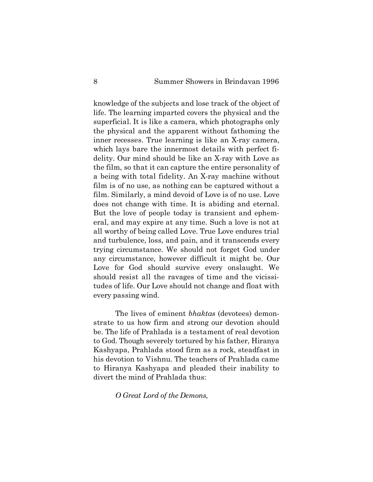knowledge of the subjects and lose track of the object of life. The learning imparted covers the physical and the superficial. It is like a camera, which photographs only the physical and the apparent without fathoming the inner recesses. True learning is like an X-ray camera, which lays bare the innermost details with perfect fidelity. Our mind should be like an X-ray with Love as the film, so that it can capture the entire personality of a being with total fidelity. An X-ray machine without film is of no use, as nothing can be captured without a film. Similarly, a mind devoid of Love is of no use. Love does not change with time. It is abiding and eternal. But the love of people today is transient and ephemeral, and may expire at any time. Such a love is not at all worthy of being called Love. True Love endures trial and turbulence, loss, and pain, and it transcends every trying circumstance. We should not forget God under any circumstance, however difficult it might be. Our Love for God should survive every onslaught. We should resist all the ravages of time and the vicissitudes of life. Our Love should not change and float with every passing wind.

The lives of eminent *bhaktas* (devotees) demonstrate to us how firm and strong our devotion should be. The life of Prahlada is a testament of real devotion to God. Though severely tortured by his father, Hiranya Kashyapa, Prahlada stood firm as a rock, steadfast in his devotion to Vishnu. The teachers of Prahlada came to Hiranya Kashyapa and pleaded their inability to divert the mind of Prahlada thus:

*O Great Lord of the Demons,*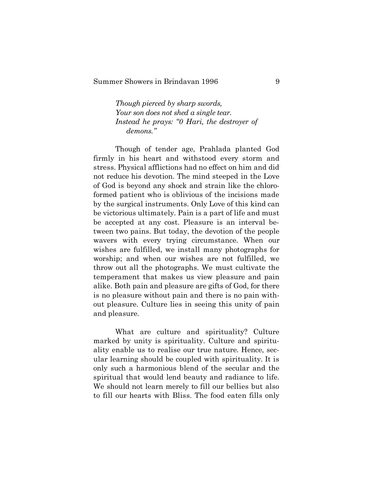*Though pierced by sharp swords, Your son does not shed a single tear. Instead he prays: "0 Hari, the destroyer of demons."*

Though of tender age, Prahlada planted God firmly in his heart and withstood every storm and stress. Physical afflictions had no effect on him and did not reduce his devotion. The mind steeped in the Love of God is beyond any shock and strain like the chloroformed patient who is oblivious of the incisions made by the surgical instruments. Only Love of this kind can be victorious ultimately. Pain is a part of life and must be accepted at any cost. Pleasure is an interval between two pains. But today, the devotion of the people wavers with every trying circumstance. When our wishes are fulfilled, we install many photographs for worship; and when our wishes are not fulfilled, we throw out all the photographs. We must cultivate the temperament that makes us view pleasure and pain alike. Both pain and pleasure are gifts of God, for there is no pleasure without pain and there is no pain without pleasure. Culture lies in seeing this unity of pain and pleasure.

What are culture and spirituality? Culture marked by unity is spirituality. Culture and spirituality enable us to realise our true nature. Hence, secular learning should be coupled with spirituality. It is only such a harmonious blend of the secular and the spiritual that would lend beauty and radiance to life. We should not learn merely to fill our bellies but also to fill our hearts with Bliss. The food eaten fills only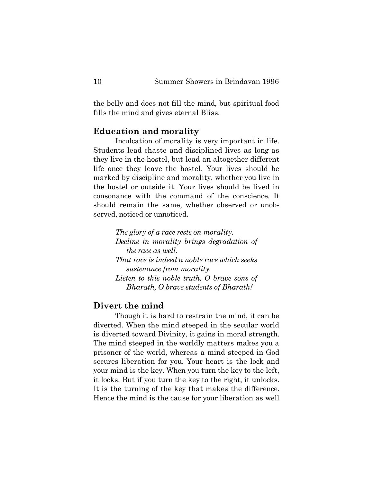the belly and does not fill the mind, but spiritual food fills the mind and gives eternal Bliss.

#### **Education and morality**

Inculcation of morality is very important in life. Students lead chaste and disciplined lives as long as they live in the hostel, but lead an altogether different life once they leave the hostel. Your lives should be marked by discipline and morality, whether you live in the hostel or outside it. Your lives should be lived in consonance with the command of the conscience. It should remain the same, whether observed or unobserved, noticed or unnoticed.

> *The glory of a race rests on morality. Decline in morality brings degradation of the race as well. That race is indeed a noble race which seeks sustenance from morality. Listen to this noble truth, O brave sons of Bharath, O brave students of Bharath!*

## **Divert the mind**

Though it is hard to restrain the mind, it can be diverted. When the mind steeped in the secular world is diverted toward Divinity, it gains in moral strength. The mind steeped in the worldly matters makes you a prisoner of the world, whereas a mind steeped in God secures liberation for you. Your heart is the lock and your mind is the key. When you turn the key to the left, it locks. But if you turn the key to the right, it unlocks. It is the turning of the key that makes the difference. Hence the mind is the cause for your liberation as well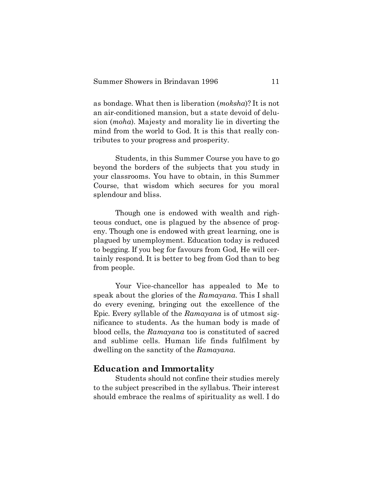as bondage. What then is liberation (*moksha*)? It is not an air-conditioned mansion, but a state devoid of delusion (*moha*). Majesty and morality lie in diverting the mind from the world to God. It is this that really contributes to your progress and prosperity.

Students, in this Summer Course you have to go beyond the borders of the subjects that you study in your classrooms. You have to obtain, in this Summer Course, that wisdom which secures for you moral splendour and bliss.

Though one is endowed with wealth and righteous conduct, one is plagued by the absence of progeny. Though one is endowed with great learning, one is plagued by unemployment. Education today is reduced to begging. If you beg for favours from God, He will certainly respond. It is better to beg from God than to beg from people.

Your Vice-chancellor has appealed to Me to speak about the glories of the *Ramayana*. This I shall do every evening, bringing out the excellence of the Epic. Every syllable of the *Ramayana* is of utmost significance to students. As the human body is made of blood cells, the *Ramayana* too is constituted of sacred and sublime cells. Human life finds fulfilment by dwelling on the sanctity of the *Ramayana*.

#### **Education and Immortality**

Students should not confine their studies merely to the subject prescribed in the syllabus. Their interest should embrace the realms of spirituality as well. I do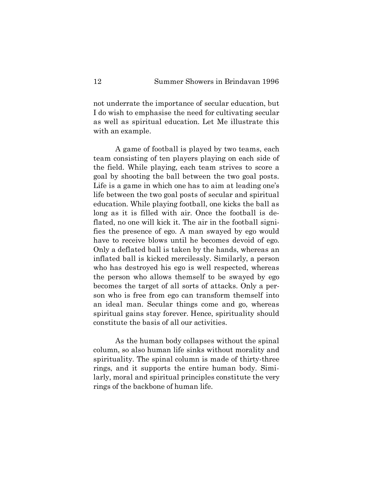not underrate the importance of secular education, but I do wish to emphasise the need for cultivating secular as well as spiritual education. Let Me illustrate this with an example.

A game of football is played by two teams, each team consisting of ten players playing on each side of the field. While playing, each team strives to score a goal by shooting the ball between the two goal posts. Life is a game in which one has to aim at leading one's life between the two goal posts of secular and spiritual education. While playing football, one kicks the ball as long as it is filled with air. Once the football is deflated, no one will kick it. The air in the football signifies the presence of ego. A man swayed by ego would have to receive blows until he becomes devoid of ego. Only a deflated ball is taken by the hands, whereas an inflated ball is kicked mercilessly. Similarly, a person who has destroyed his ego is well respected, whereas the person who allows themself to be swayed by ego becomes the target of all sorts of attacks. Only a person who is free from ego can transform themself into an ideal man. Secular things come and go, whereas spiritual gains stay forever. Hence, spirituality should constitute the basis of all our activities.

As the human body collapses without the spinal column, so also human life sinks without morality and spirituality. The spinal column is made of thirty-three rings, and it supports the entire human body. Similarly, moral and spiritual principles constitute the very rings of the backbone of human life.